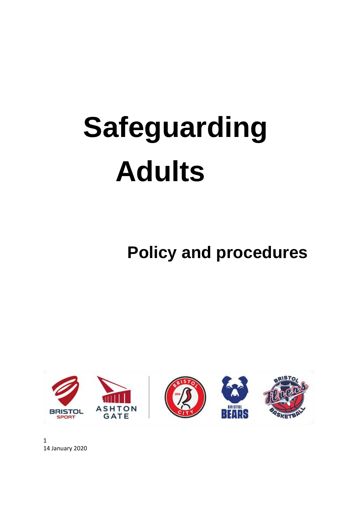# **Safeguarding Adults**

 **Policy and procedures**

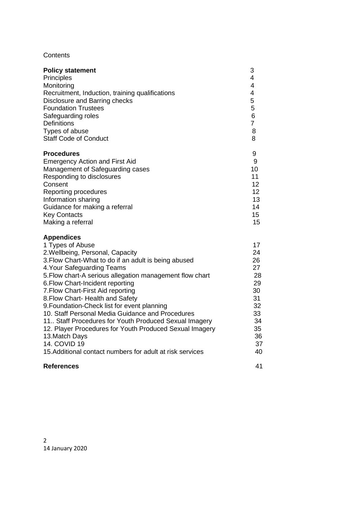## **Contents**

| <b>Policy statement</b>                                                                                                                                                                                                                                                                                                                                                                                                                                                                                                                                                                                                                                         | 3                                                                                      |
|-----------------------------------------------------------------------------------------------------------------------------------------------------------------------------------------------------------------------------------------------------------------------------------------------------------------------------------------------------------------------------------------------------------------------------------------------------------------------------------------------------------------------------------------------------------------------------------------------------------------------------------------------------------------|----------------------------------------------------------------------------------------|
| Principles                                                                                                                                                                                                                                                                                                                                                                                                                                                                                                                                                                                                                                                      | 4                                                                                      |
| Monitoring                                                                                                                                                                                                                                                                                                                                                                                                                                                                                                                                                                                                                                                      | 4                                                                                      |
| Recruitment, Induction, training qualifications                                                                                                                                                                                                                                                                                                                                                                                                                                                                                                                                                                                                                 | 4                                                                                      |
| Disclosure and Barring checks                                                                                                                                                                                                                                                                                                                                                                                                                                                                                                                                                                                                                                   | 5                                                                                      |
| <b>Foundation Trustees</b>                                                                                                                                                                                                                                                                                                                                                                                                                                                                                                                                                                                                                                      | 5                                                                                      |
| Safeguarding roles                                                                                                                                                                                                                                                                                                                                                                                                                                                                                                                                                                                                                                              | 6                                                                                      |
| <b>Definitions</b>                                                                                                                                                                                                                                                                                                                                                                                                                                                                                                                                                                                                                                              | $\overline{7}$                                                                         |
| Types of abuse                                                                                                                                                                                                                                                                                                                                                                                                                                                                                                                                                                                                                                                  | 8                                                                                      |
| <b>Staff Code of Conduct</b>                                                                                                                                                                                                                                                                                                                                                                                                                                                                                                                                                                                                                                    | 8                                                                                      |
| <b>Procedures</b>                                                                                                                                                                                                                                                                                                                                                                                                                                                                                                                                                                                                                                               | 9                                                                                      |
| <b>Emergency Action and First Aid</b>                                                                                                                                                                                                                                                                                                                                                                                                                                                                                                                                                                                                                           | 9                                                                                      |
| Management of Safeguarding cases                                                                                                                                                                                                                                                                                                                                                                                                                                                                                                                                                                                                                                | 10                                                                                     |
| Responding to disclosures                                                                                                                                                                                                                                                                                                                                                                                                                                                                                                                                                                                                                                       | 11                                                                                     |
| Consent                                                                                                                                                                                                                                                                                                                                                                                                                                                                                                                                                                                                                                                         | 12                                                                                     |
| Reporting procedures                                                                                                                                                                                                                                                                                                                                                                                                                                                                                                                                                                                                                                            | 12                                                                                     |
| Information sharing                                                                                                                                                                                                                                                                                                                                                                                                                                                                                                                                                                                                                                             | 13                                                                                     |
| Guidance for making a referral                                                                                                                                                                                                                                                                                                                                                                                                                                                                                                                                                                                                                                  | 14                                                                                     |
| <b>Key Contacts</b>                                                                                                                                                                                                                                                                                                                                                                                                                                                                                                                                                                                                                                             | 15                                                                                     |
| Making a referral                                                                                                                                                                                                                                                                                                                                                                                                                                                                                                                                                                                                                                               | 15                                                                                     |
| <b>Appendices</b><br>1 Types of Abuse<br>2. Wellbeing, Personal, Capacity<br>3. Flow Chart-What to do if an adult is being abused<br>4. Your Safeguarding Teams<br>5. Flow chart-A serious allegation management flow chart<br>6. Flow Chart-Incident reporting<br>7. Flow Chart-First Aid reporting<br>8. Flow Chart- Health and Safety<br>9. Foundation-Check list for event planning<br>10. Staff Personal Media Guidance and Procedures<br>11. Staff Procedures for Youth Produced Sexual Imagery<br>12. Player Procedures for Youth Produced Sexual Imagery<br>13. Match Days<br>14. COVID 19<br>15. Additional contact numbers for adult at risk services | 17<br>24<br>26<br>27<br>28<br>29<br>30<br>31<br>32<br>33<br>34<br>35<br>36<br>37<br>40 |
| <b>References</b>                                                                                                                                                                                                                                                                                                                                                                                                                                                                                                                                                                                                                                               | 41                                                                                     |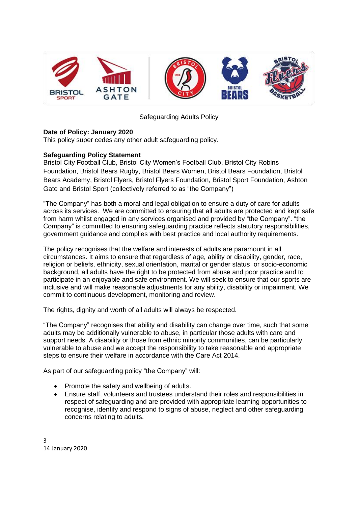

Safeguarding Adults Policy

## **Date of Policy: January 2020**

This policy super cedes any other adult safeguarding policy.

## **Safeguarding Policy Statement**

Bristol City Football Club, Bristol City Women's Football Club, Bristol City Robins Foundation, Bristol Bears Rugby, Bristol Bears Women, Bristol Bears Foundation, Bristol Bears Academy, Bristol Flyers, Bristol Flyers Foundation, Bristol Sport Foundation, Ashton Gate and Bristol Sport (collectively referred to as "the Company")

"The Company" has both a moral and legal obligation to ensure a duty of care for adults across its services. We are committed to ensuring that all adults are protected and kept safe from harm whilst engaged in any services organised and provided by "the Company". "the Company" is committed to ensuring safeguarding practice reflects statutory responsibilities, government guidance and complies with best practice and local authority requirements.

The policy recognises that the welfare and interests of adults are paramount in all circumstances. It aims to ensure that regardless of age, ability or disability, gender, race, religion or beliefs, ethnicity, sexual orientation, marital or gender status or socio-economic background, all adults have the right to be protected from abuse and poor practice and to participate in an enjoyable and safe environment. We will seek to ensure that our sports are inclusive and will make reasonable adjustments for any ability, disability or impairment. We commit to continuous development, monitoring and review.

The rights, dignity and worth of all adults will always be respected.

"The Company" recognises that ability and disability can change over time, such that some adults may be additionally vulnerable to abuse, in particular those adults with care and support needs. A disability or those from ethnic minority communities, can be particularly vulnerable to abuse and we accept the responsibility to take reasonable and appropriate steps to ensure their welfare in accordance with the Care Act 2014.

As part of our safeguarding policy "the Company" will:

- Promote the safety and wellbeing of adults.
- Ensure staff, volunteers and trustees understand their roles and responsibilities in respect of safeguarding and are provided with appropriate learning opportunities to recognise, identify and respond to signs of abuse, neglect and other safeguarding concerns relating to adults.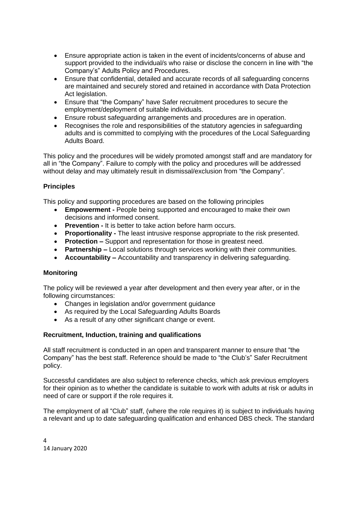- Ensure appropriate action is taken in the event of incidents/concerns of abuse and support provided to the individual/s who raise or disclose the concern in line with "the Company's" Adults Policy and Procedures.
- Ensure that confidential, detailed and accurate records of all safeguarding concerns are maintained and securely stored and retained in accordance with Data Protection Act legislation.
- Ensure that "the Company" have Safer recruitment procedures to secure the employment/deployment of suitable individuals.
- Ensure robust safeguarding arrangements and procedures are in operation.
- Recognises the role and responsibilities of the statutory agencies in safeguarding adults and is committed to complying with the procedures of the Local Safeguarding Adults Board.

This policy and the procedures will be widely promoted amongst staff and are mandatory for all in "the Company". Failure to comply with the policy and procedures will be addressed without delay and may ultimately result in dismissal/exclusion from "the Company".

## **Principles**

This policy and supporting procedures are based on the following principles

- **Empowerment -** People being supported and encouraged to make their own decisions and informed consent.
- **Prevention -** It is better to take action before harm occurs.
- **Proportionality -** The least intrusive response appropriate to the risk presented.
- **Protection –** Support and representation for those in greatest need.
- **Partnership –** Local solutions through services working with their communities.
- **Accountability –** Accountability and transparency in delivering safeguarding.

## **Monitoring**

The policy will be reviewed a year after development and then every year after, or in the following circumstances:

- Changes in legislation and/or government guidance
- As required by the Local Safeguarding Adults Boards
- As a result of any other significant change or event.

## **Recruitment, Induction, training and qualifications**

All staff recruitment is conducted in an open and transparent manner to ensure that "the Company" has the best staff. Reference should be made to "the Club's" Safer Recruitment policy.

Successful candidates are also subject to reference checks, which ask previous employers for their opinion as to whether the candidate is suitable to work with adults at risk or adults in need of care or support if the role requires it.

The employment of all "Club" staff, (where the role requires it) is subject to individuals having a relevant and up to date safeguarding qualification and enhanced DBS check. The standard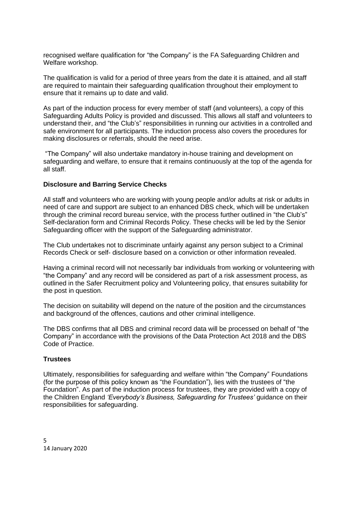recognised welfare qualification for "the Company" is the FA Safeguarding Children and Welfare workshop.

The qualification is valid for a period of three years from the date it is attained, and all staff are required to maintain their safeguarding qualification throughout their employment to ensure that it remains up to date and valid.

As part of the induction process for every member of staff (and volunteers), a copy of this Safeguarding Adults Policy is provided and discussed. This allows all staff and volunteers to understand their, and "the Club's" responsibilities in running our activities in a controlled and safe environment for all participants. The induction process also covers the procedures for making disclosures or referrals, should the need arise.

"The Company" will also undertake mandatory in-house training and development on safeguarding and welfare, to ensure that it remains continuously at the top of the agenda for all staff.

#### **Disclosure and Barring Service Checks**

All staff and volunteers who are working with young people and/or adults at risk or adults in need of care and support are subject to an enhanced DBS check, which will be undertaken through the criminal record bureau service, with the process further outlined in "the Club's" Self-declaration form and Criminal Records Policy. These checks will be led by the Senior Safeguarding officer with the support of the Safeguarding administrator.

The Club undertakes not to discriminate unfairly against any person subject to a Criminal Records Check or self- disclosure based on a conviction or other information revealed.

Having a criminal record will not necessarily bar individuals from working or volunteering with "the Company" and any record will be considered as part of a risk assessment process, as outlined in the Safer Recruitment policy and Volunteering policy, that ensures suitability for the post in question.

The decision on suitability will depend on the nature of the position and the circumstances and background of the offences, cautions and other criminal intelligence.

The DBS confirms that all DBS and criminal record data will be processed on behalf of "the Company" in accordance with the provisions of the Data Protection Act 2018 and the DBS Code of Practice.

#### **Trustees**

Ultimately, responsibilities for safeguarding and welfare within "the Company" Foundations (for the purpose of this policy known as "the Foundation"), lies with the trustees of "the Foundation". As part of the induction process for trustees, they are provided with a copy of the Children England *'Everybody's Business, Safeguarding for Trustees'* guidance on their responsibilities for safeguarding.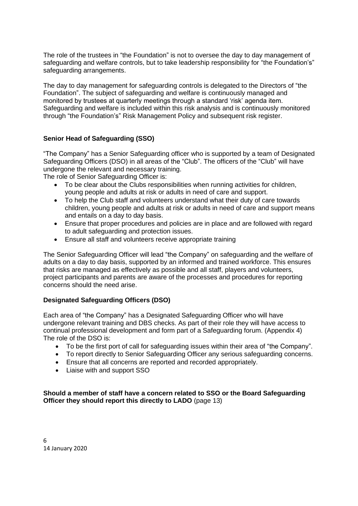The role of the trustees in "the Foundation" is not to oversee the day to day management of safeguarding and welfare controls, but to take leadership responsibility for "the Foundation's" safeguarding arrangements.

The day to day management for safeguarding controls is delegated to the Directors of "the Foundation". The subject of safeguarding and welfare is continuously managed and monitored by trustees at quarterly meetings through a standard 'risk' agenda item. Safeguarding and welfare is included within this risk analysis and is continuously monitored through "the Foundation's" Risk Management Policy and subsequent risk register.

## **Senior Head of Safeguarding (SSO)**

"The Company" has a Senior Safeguarding officer who is supported by a team of Designated Safeguarding Officers (DSO) in all areas of the "Club". The officers of the "Club" will have undergone the relevant and necessary training.

The role of Senior Safeguarding Officer is:

- To be clear about the Clubs responsibilities when running activities for children, young people and adults at risk or adults in need of care and support.
- To help the Club staff and volunteers understand what their duty of care towards children, young people and adults at risk or adults in need of care and support means and entails on a day to day basis.
- Ensure that proper procedures and policies are in place and are followed with regard to adult safeguarding and protection issues.
- Ensure all staff and volunteers receive appropriate training

The Senior Safeguarding Officer will lead "the Company" on safeguarding and the welfare of adults on a day to day basis, supported by an informed and trained workforce. This ensures that risks are managed as effectively as possible and all staff, players and volunteers, project participants and parents are aware of the processes and procedures for reporting concerns should the need arise.

## **Designated Safeguarding Officers (DSO)**

Each area of "the Company" has a Designated Safeguarding Officer who will have undergone relevant training and DBS checks. As part of their role they will have access to continual professional development and form part of a Safeguarding forum. (Appendix 4) The role of the DSO is:

- To be the first port of call for safeguarding issues within their area of "the Company".
- To report directly to Senior Safeguarding Officer any serious safeguarding concerns.
- Ensure that all concerns are reported and recorded appropriately.
- Liaise with and support SSO

**Should a member of staff have a concern related to SSO or the Board Safeguarding Officer they should report this directly to LADO** (page 13)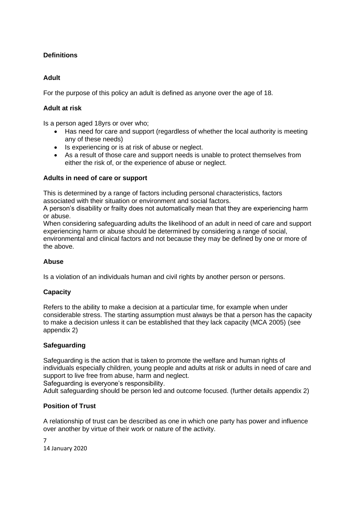# **Definitions**

## **Adult**

For the purpose of this policy an adult is defined as anyone over the age of 18.

## **Adult at risk**

Is a person aged 18yrs or over who;

- Has need for care and support (regardless of whether the local authority is meeting any of these needs)
- Is experiencing or is at risk of abuse or neglect.
- As a result of those care and support needs is unable to protect themselves from either the risk of, or the experience of abuse or neglect.

## **Adults in need of care or support**

This is determined by a range of factors including personal characteristics, factors associated with their situation or environment and social factors.

A person's disability or frailty does not automatically mean that they are experiencing harm or abuse.

When considering safeguarding adults the likelihood of an adult in need of care and support experiencing harm or abuse should be determined by considering a range of social, environmental and clinical factors and not because they may be defined by one or more of the above.

## **Abuse**

Is a violation of an individuals human and civil rights by another person or persons.

## **Capacity**

Refers to the ability to make a decision at a particular time, for example when under considerable stress. The starting assumption must always be that a person has the capacity to make a decision unless it can be established that they lack capacity (MCA 2005) (see appendix 2)

## **Safeguarding**

Safeguarding is the action that is taken to promote the welfare and human rights of individuals especially children, young people and adults at risk or adults in need of care and support to live free from abuse, harm and neglect.

Safeguarding is everyone's responsibility.

Adult safeguarding should be person led and outcome focused. (further details appendix 2)

## **Position of Trust**

A relationship of trust can be described as one in which one party has power and influence over another by virtue of their work or nature of the activity.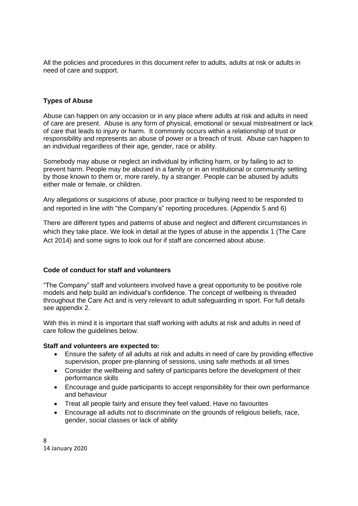All the policies and procedures in this document refer to adults, adults at risk or adults in need of care and support.

## **Types of Abuse**

Abuse can happen on any occasion or in any place where adults at risk and adults in need of care are present. Abuse is any form of physical, emotional or sexual mistreatment or lack of care that leads to injury or harm. It commonly occurs within a relationship of trust or responsibility and represents an abuse of power or a breach of trust. Abuse can happen to an individual regardless of their age, gender, race or ability.

Somebody may abuse or neglect an individual by inflicting harm, or by failing to act to prevent harm. People may be abused in a family or in an institutional or community setting by those known to them or, more rarely, by a stranger. People can be abused by adults either male or female, or children.

Any allegations or suspicions of abuse, poor practice or bullying need to be responded to and reported in line with "the Company's" reporting procedures. (Appendix 5 and 6)

There are different types and patterns of abuse and neglect and different circumstances in which they take place. We look in detail at the types of abuse in the appendix 1 (The Care Act 2014) and some signs to look out for if staff are concerned about abuse.

## **Code of conduct for staff and volunteers**

"The Company" staff and volunteers involved have a great opportunity to be positive role models and help build an individual's confidence. The concept of wellbeing is threaded throughout the Care Act and is very relevant to adult safeguarding in sport. For full details see appendix 2.

With this in mind it is important that staff working with adults at risk and adults in need of care follow the guidelines below.

## **Staff and volunteers are expected to:**

- Ensure the safety of all adults at risk and adults in need of care by providing effective supervision, proper pre-planning of sessions, using safe methods at all times
- Consider the wellbeing and safety of participants before the development of their performance skills
- Encourage and guide participants to accept responsibility for their own performance and behaviour
- Treat all people fairly and ensure they feel valued. Have no favourites
- Encourage all adults not to discriminate on the grounds of religious beliefs, race, gender, social classes or lack of ability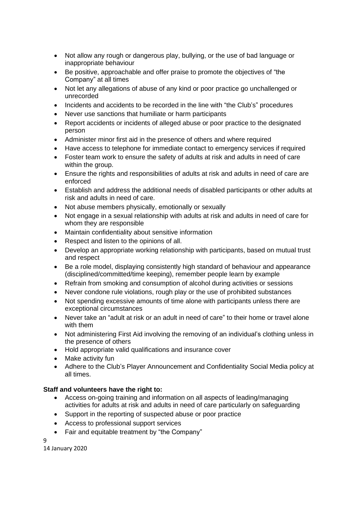- Not allow any rough or dangerous play, bullying, or the use of bad language or inappropriate behaviour
- Be positive, approachable and offer praise to promote the objectives of "the Company" at all times
- Not let any allegations of abuse of any kind or poor practice go unchallenged or unrecorded
- Incidents and accidents to be recorded in the line with "the Club's" procedures
- Never use sanctions that humiliate or harm participants
- Report accidents or incidents of alleged abuse or poor practice to the designated person
- Administer minor first aid in the presence of others and where required
- Have access to telephone for immediate contact to emergency services if required
- Foster team work to ensure the safety of adults at risk and adults in need of care within the group.
- Ensure the rights and responsibilities of adults at risk and adults in need of care are enforced
- Establish and address the additional needs of disabled participants or other adults at risk and adults in need of care.
- Not abuse members physically, emotionally or sexually
- Not engage in a sexual relationship with adults at risk and adults in need of care for whom they are responsible
- Maintain confidentiality about sensitive information
- Respect and listen to the opinions of all.
- Develop an appropriate working relationship with participants, based on mutual trust and respect
- Be a role model, displaying consistently high standard of behaviour and appearance (disciplined/committed/time keeping), remember people learn by example
- Refrain from smoking and consumption of alcohol during activities or sessions
- Never condone rule violations, rough play or the use of prohibited substances
- Not spending excessive amounts of time alone with participants unless there are exceptional circumstances
- Never take an "adult at risk or an adult in need of care" to their home or travel alone with them
- Not administering First Aid involving the removing of an individual's clothing unless in the presence of others
- Hold appropriate valid qualifications and insurance cover
- Make activity fun
- Adhere to the Club's Player Announcement and Confidentiality Social Media policy at all times.

## **Staff and volunteers have the right to:**

- Access on-going training and information on all aspects of leading/managing activities for adults at risk and adults in need of care particularly on safeguarding
- Support in the reporting of suspected abuse or poor practice
- Access to professional support services
- Fair and equitable treatment by "the Company"

9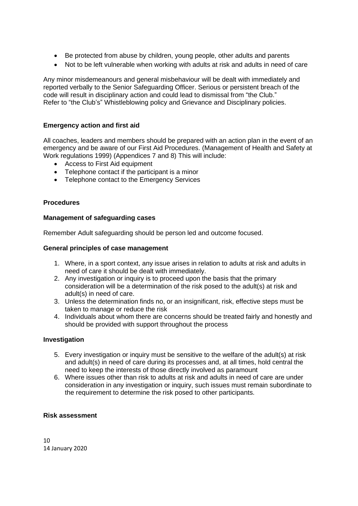- Be protected from abuse by children, young people, other adults and parents
- Not to be left vulnerable when working with adults at risk and adults in need of care

Any minor misdemeanours and general misbehaviour will be dealt with immediately and reported verbally to the Senior Safeguarding Officer. Serious or persistent breach of the code will result in disciplinary action and could lead to dismissal from "the Club." Refer to "the Club's" Whistleblowing policy and Grievance and Disciplinary policies.

## **Emergency action and first aid**

All coaches, leaders and members should be prepared with an action plan in the event of an emergency and be aware of our First Aid Procedures. (Management of Health and Safety at Work regulations 1999) (Appendices 7 and 8) This will include:

- Access to First Aid equipment
- Telephone contact if the participant is a minor
- Telephone contact to the Emergency Services

#### **Procedures**

#### **Management of safeguarding cases**

Remember Adult safeguarding should be person led and outcome focused.

#### **General principles of case management**

- 1. Where, in a sport context, any issue arises in relation to adults at risk and adults in need of care it should be dealt with immediately.
- 2. Any investigation or inquiry is to proceed upon the basis that the primary consideration will be a determination of the risk posed to the adult(s) at risk and adult(s) in need of care.
- 3. Unless the determination finds no, or an insignificant, risk, effective steps must be taken to manage or reduce the risk
- 4. Individuals about whom there are concerns should be treated fairly and honestly and should be provided with support throughout the process

#### **Investigation**

- 5. Every investigation or inquiry must be sensitive to the welfare of the adult(s) at risk and adult(s) in need of care during its processes and, at all times, hold central the need to keep the interests of those directly involved as paramount
- 6. Where issues other than risk to adults at risk and adults in need of care are under consideration in any investigation or inquiry, such issues must remain subordinate to the requirement to determine the risk posed to other participants.

#### **Risk assessment**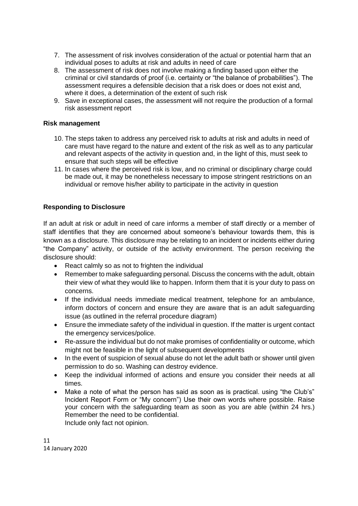- 7. The assessment of risk involves consideration of the actual or potential harm that an individual poses to adults at risk and adults in need of care
- 8. The assessment of risk does not involve making a finding based upon either the criminal or civil standards of proof (i.e. certainty or "the balance of probabilities"). The assessment requires a defensible decision that a risk does or does not exist and, where it does, a determination of the extent of such risk
- 9. Save in exceptional cases, the assessment will not require the production of a formal risk assessment report

## **Risk management**

- 10. The steps taken to address any perceived risk to adults at risk and adults in need of care must have regard to the nature and extent of the risk as well as to any particular and relevant aspects of the activity in question and, in the light of this, must seek to ensure that such steps will be effective
- 11. In cases where the perceived risk is low, and no criminal or disciplinary charge could be made out, it may be nonetheless necessary to impose stringent restrictions on an individual or remove his/her ability to participate in the activity in question

## **Responding to Disclosure**

If an adult at risk or adult in need of care informs a member of staff directly or a member of staff identifies that they are concerned about someone's behaviour towards them, this is known as a disclosure. This disclosure may be relating to an incident or incidents either during "the Company" activity, or outside of the activity environment. The person receiving the disclosure should:

- React calmly so as not to frighten the individual
- Remember to make safeguarding personal. Discuss the concerns with the adult, obtain their view of what they would like to happen. Inform them that it is your duty to pass on concerns.
- If the individual needs immediate medical treatment, telephone for an ambulance, inform doctors of concern and ensure they are aware that is an adult safeguarding issue (as outlined in the referral procedure diagram)
- Ensure the immediate safety of the individual in question. If the matter is urgent contact the emergency services/police.
- Re-assure the individual but do not make promises of confidentiality or outcome, which might not be feasible in the light of subsequent developments
- In the event of suspicion of sexual abuse do not let the adult bath or shower until given permission to do so. Washing can destroy evidence.
- Keep the individual informed of actions and ensure you consider their needs at all times.
- Make a note of what the person has said as soon as is practical. using "the Club's" Incident Report Form or "My concern") Use their own words where possible. Raise your concern with the safeguarding team as soon as you are able (within 24 hrs.) Remember the need to be confidential. Include only fact not opinion.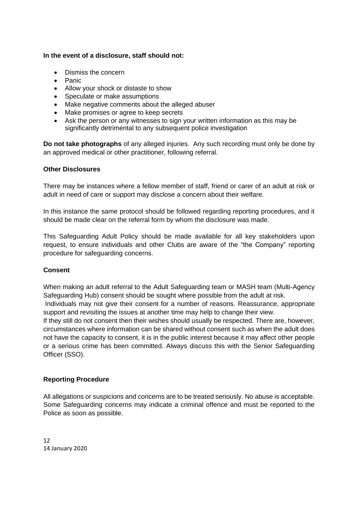## **In the event of a disclosure, staff should not:**

- Dismiss the concern
- Panic
- Allow your shock or distaste to show
- Speculate or make assumptions
- Make negative comments about the alleged abuser
- Make promises or agree to keep secrets
- Ask the person or any witnesses to sign your written information as this may be significantly detrimental to any subsequent police investigation

**Do not take photographs** of any alleged injuries. Any such recording must only be done by an approved medical or other practitioner, following referral.

## **Other Disclosures**

There may be instances where a fellow member of staff, friend or carer of an adult at risk or adult in need of care or support may disclose a concern about their welfare.

In this instance the same protocol should be followed regarding reporting procedures, and it should be made clear on the referral form by whom the disclosure was made.

This Safeguarding Adult Policy should be made available for all key stakeholders upon request, to ensure individuals and other Clubs are aware of the "the Company" reporting procedure for safeguarding concerns.

## **Consent**

When making an adult referral to the Adult Safeguarding team or MASH team (Multi-Agency Safeguarding Hub) consent should be sought where possible from the adult at risk.

Individuals may not give their consent for a number of reasons. Reassurance, appropriate support and revisiting the issues at another time may help to change their view.

If they still do not consent then their wishes should usually be respected. There are, however, circumstances where information can be shared without consent such as when the adult does not have the capacity to consent, it is in the public interest because it may affect other people or a serious crime has been committed. Always discuss this with the Senior Safeguarding Officer (SSO).

## **Reporting Procedure**

All allegations or suspicions and concerns are to be treated seriously. No abuse is acceptable. Some Safeguarding concerns may indicate a criminal offence and must be reported to the Police as soon as possible.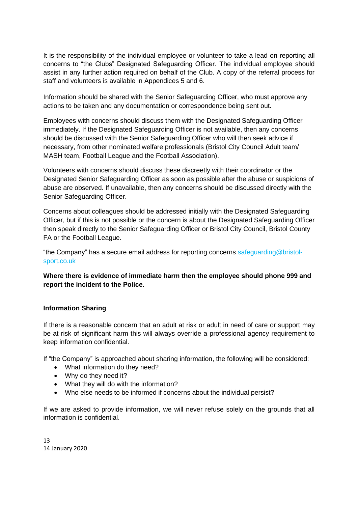It is the responsibility of the individual employee or volunteer to take a lead on reporting all concerns to "the Clubs" Designated Safeguarding Officer. The individual employee should assist in any further action required on behalf of the Club. A copy of the referral process for staff and volunteers is available in Appendices 5 and 6.

Information should be shared with the Senior Safeguarding Officer, who must approve any actions to be taken and any documentation or correspondence being sent out.

Employees with concerns should discuss them with the Designated Safeguarding Officer immediately. If the Designated Safeguarding Officer is not available, then any concerns should be discussed with the Senior Safeguarding Officer who will then seek advice if necessary, from other nominated welfare professionals (Bristol City Council Adult team/ MASH team, Football League and the Football Association).

Volunteers with concerns should discuss these discreetly with their coordinator or the Designated Senior Safeguarding Officer as soon as possible after the abuse or suspicions of abuse are observed. If unavailable, then any concerns should be discussed directly with the Senior Safeguarding Officer.

Concerns about colleagues should be addressed initially with the Designated Safeguarding Officer, but if this is not possible or the concern is about the Designated Safeguarding Officer then speak directly to the Senior Safeguarding Officer or Bristol City Council, Bristol County FA or the Football League.

"the Company" has a secure email address for reporting concerns safeguarding@bristolsport.co.uk

## **Where there is evidence of immediate harm then the employee should phone 999 and report the incident to the Police.**

## **Information Sharing**

If there is a reasonable concern that an adult at risk or adult in need of care or support may be at risk of significant harm this will always override a professional agency requirement to keep information confidential.

If "the Company" is approached about sharing information, the following will be considered:

- What information do they need?
- Why do they need it?
- What they will do with the information?
- Who else needs to be informed if concerns about the individual persist?

If we are asked to provide information, we will never refuse solely on the grounds that all information is confidential.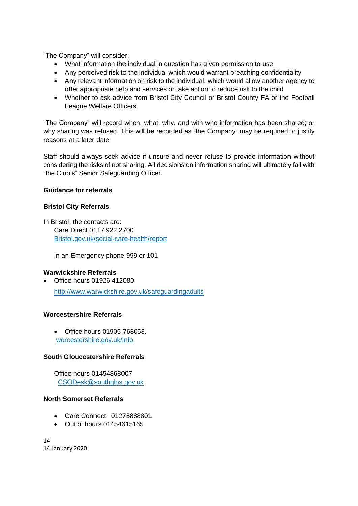"The Company" will consider:

- What information the individual in question has given permission to use
- Any perceived risk to the individual which would warrant breaching confidentiality
- Any relevant information on risk to the individual, which would allow another agency to offer appropriate help and services or take action to reduce risk to the child
- Whether to ask advice from Bristol City Council or Bristol County FA or the Football League Welfare Officers

"The Company" will record when, what, why, and with who information has been shared; or why sharing was refused. This will be recorded as "the Company" may be required to justify reasons at a later date.

Staff should always seek advice if unsure and never refuse to provide information without considering the risks of not sharing. All decisions on information sharing will ultimately fall with "the Club's" Senior Safeguarding Officer.

## **Guidance for referrals**

## **Bristol City Referrals**

In Bristol, the contacts are: Care Direct 0117 922 2700 Bristol.gov.uk/social-care-health/report

In an Emergency phone 999 or 101

## **Warwickshire Referrals**

• Office hours 01926 412080 [http://www.warwickshire.gov.uk/safeguardinga](http://www.warwickshire.gov.uk/safeguarding)dults

## **Worcestershire Referrals**

• Office hours 01905 768053. worcestershire.gov.uk/info

## **South Gloucestershire Referrals**

Office hours 01454868007 [CSODesk@southglos.gov.uk](mailto:CSODesk@southglos.gov.uk)

## **North Somerset Referrals**

- Care Connect 01275888801
- Out of hours 01454615165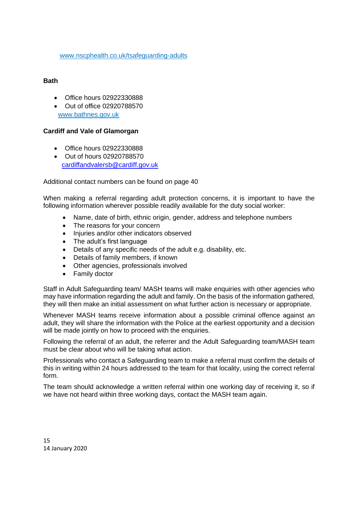[www.nscphealth.co.uk/tsafeguarding-adults](http://www.nscphealth.co.uk/tsafeguarding-adults)

## **Bath**

- Office hours 02922330888
- Out of office 02920788570 www.bathnes.gov.uk

## **Cardiff and Vale of Glamorgan**

- Office hours 02922330888
- Out of hours 02920788570 [cardiffandvalersb@cardiff.gov.uk](mailto:cardiffandvalersb@cardiff.gov.uk)

Additional contact numbers can be found on page 40

When making a referral regarding adult protection concerns, it is important to have the following information wherever possible readily available for the duty social worker:

- Name, date of birth, ethnic origin, gender, address and telephone numbers
- The reasons for your concern
- Injuries and/or other indicators observed
- The adult's first language
- Details of any specific needs of the adult e.g. disability, etc.
- Details of family members, if known
- Other agencies, professionals involved
- Family doctor

Staff in Adult Safeguarding team/ MASH teams will make enquiries with other agencies who may have information regarding the adult and family. On the basis of the information gathered, they will then make an initial assessment on what further action is necessary or appropriate.

Whenever MASH teams receive information about a possible criminal offence against an adult, they will share the information with the Police at the earliest opportunity and a decision will be made jointly on how to proceed with the enquiries.

Following the referral of an adult, the referrer and the Adult Safeguarding team/MASH team must be clear about who will be taking what action.

Professionals who contact a Safeguarding team to make a referral must confirm the details of this in writing within 24 hours addressed to the team for that locality, using the correct referral form.

The team should acknowledge a written referral within one working day of receiving it, so if we have not heard within three working days, contact the MASH team again.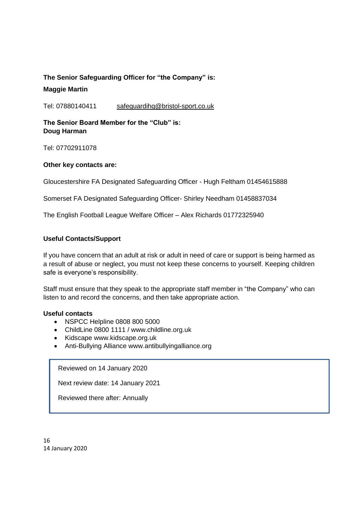# **The Senior Safeguarding Officer for "the Company" is: Maggie Martin**

Tel: 07880140411 safeguardihg@bristol-sport.co.uk

## **The Senior Board Member for the "Club" is: Doug Harman**

Tel: 07702911078

## **Other key contacts are:**

Gloucestershire FA Designated Safeguarding Officer - Hugh Feltham 01454615888

Somerset FA Designated Safeguarding Officer- Shirley Needham 01458837034

The English Football League Welfare Officer – Alex Richards 01772325940

## **Useful Contacts/Support**

If you have concern that an adult at risk or adult in need of care or support is being harmed as a result of abuse or neglect, you must not keep these concerns to yourself. Keeping children safe is everyone's responsibility.

Staff must ensure that they speak to the appropriate staff member in "the Company" who can listen to and record the concerns, and then take appropriate action.

## **Useful contacts**

- NSPCC Helpline 0808 800 5000
- ChildLine 0800 1111 / www.childline.org.uk
- Kidscape www.kidscape.org.uk
- Anti-Bullying Alliance www.antibullyingalliance.org

Reviewed on 14 January 2020

Next review date: 14 January 2021

Reviewed there after: Annually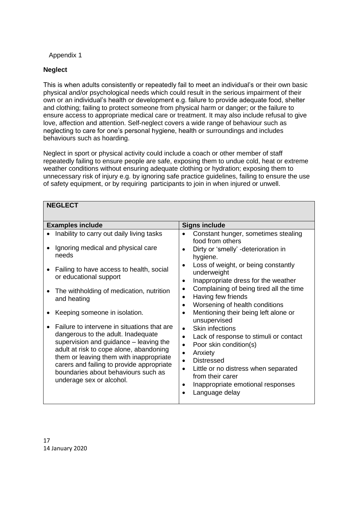## Appendix 1

## **Neglect**

This is when adults consistently or repeatedly fail to meet an individual's or their own basic physical and/or psychological needs which could result in the serious impairment of their own or an individual's health or development e.g. failure to provide adequate food, shelter and clothing; failing to protect someone from physical harm or danger; or the failure to ensure access to appropriate medical care or treatment. It may also include refusal to give love, affection and attention. Self-neglect covers a wide range of behaviour such as neglecting to care for one's personal hygiene, health or surroundings and includes behaviours such as hoarding.

Neglect in sport or physical activity could include a coach or other member of staff repeatedly failing to ensure people are safe, exposing them to undue cold, heat or extreme weather conditions without ensuring adequate clothing or hydration; exposing them to unnecessary risk of injury e.g. by ignoring safe practice guidelines, failing to ensure the use of safety equipment, or by requiring participants to join in when injured or unwell.

| <b>NEGLECT</b>                                                                                                                                                                                                                                                                                                                    |                                                                                                                                                                                                                                                                                                                             |
|-----------------------------------------------------------------------------------------------------------------------------------------------------------------------------------------------------------------------------------------------------------------------------------------------------------------------------------|-----------------------------------------------------------------------------------------------------------------------------------------------------------------------------------------------------------------------------------------------------------------------------------------------------------------------------|
| <b>Examples include</b>                                                                                                                                                                                                                                                                                                           | <b>Signs include</b>                                                                                                                                                                                                                                                                                                        |
| Inability to carry out daily living tasks                                                                                                                                                                                                                                                                                         | Constant hunger, sometimes stealing<br>food from others                                                                                                                                                                                                                                                                     |
| Ignoring medical and physical care<br>needs                                                                                                                                                                                                                                                                                       | Dirty or 'smelly' -deterioration in<br>$\bullet$<br>hygiene.                                                                                                                                                                                                                                                                |
| Failing to have access to health, social<br>or educational support                                                                                                                                                                                                                                                                | Loss of weight, or being constantly<br>underweight<br>Inappropriate dress for the weather<br>$\bullet$                                                                                                                                                                                                                      |
| The withholding of medication, nutrition<br>and heating                                                                                                                                                                                                                                                                           | Complaining of being tired all the time<br>$\bullet$<br>Having few friends<br>$\bullet$<br>Worsening of health conditions                                                                                                                                                                                                   |
| Keeping someone in isolation.                                                                                                                                                                                                                                                                                                     | Mentioning their being left alone or<br>unsupervised                                                                                                                                                                                                                                                                        |
| Failure to intervene in situations that are<br>dangerous to the adult. Inadequate<br>supervision and guidance - leaving the<br>adult at risk to cope alone, abandoning<br>them or leaving them with inappropriate<br>carers and failing to provide appropriate<br>boundaries about behaviours such as<br>underage sex or alcohol. | <b>Skin infections</b><br>$\bullet$<br>Lack of response to stimuli or contact<br>$\bullet$<br>Poor skin condition(s)<br>$\bullet$<br>Anxiety<br>$\bullet$<br><b>Distressed</b><br>$\bullet$<br>Little or no distress when separated<br>$\bullet$<br>from their carer<br>Inappropriate emotional responses<br>Language delay |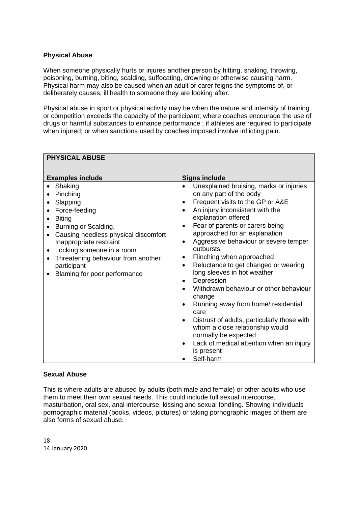# **Physical Abuse**

**PHYSICAL ABUSE**

When someone physically hurts or injures another person by hitting, shaking, throwing, poisoning, burning, biting, scalding, suffocating, drowning or otherwise causing harm. Physical harm may also be caused when an adult or carer feigns the symptoms of, or deliberately causes, ill health to someone they are looking after.

Physical abuse in sport or physical activity may be when the nature and intensity of training or competition exceeds the capacity of the participant; where coaches encourage the use of drugs or harmful substances to enhance performance ; if athletes are required to participate when injured; or when sanctions used by coaches imposed involve inflicting pain.

| FFI I ƏIVAL ADUƏL                                                                                                                                                                                                                                                              |                                                                                                                                                                                                                                                                                                                                                                                                                                                                                                                                                                                                                                                                                                                                     |
|--------------------------------------------------------------------------------------------------------------------------------------------------------------------------------------------------------------------------------------------------------------------------------|-------------------------------------------------------------------------------------------------------------------------------------------------------------------------------------------------------------------------------------------------------------------------------------------------------------------------------------------------------------------------------------------------------------------------------------------------------------------------------------------------------------------------------------------------------------------------------------------------------------------------------------------------------------------------------------------------------------------------------------|
| <b>Examples include</b>                                                                                                                                                                                                                                                        | <b>Signs include</b>                                                                                                                                                                                                                                                                                                                                                                                                                                                                                                                                                                                                                                                                                                                |
| Shaking<br>Pinching<br>Slapping<br>Force-feeding<br><b>Biting</b><br>Burning or Scalding.<br>Causing needless physical discomfort<br>Inappropriate restraint<br>Locking someone in a room<br>Threatening behaviour from another<br>participant<br>Blaming for poor performance | Unexplained bruising, marks or injuries<br>on any part of the body<br>Frequent visits to the GP or A&E<br>$\bullet$<br>An injury inconsistent with the<br>$\bullet$<br>explanation offered<br>Fear of parents or carers being<br>$\bullet$<br>approached for an explanation<br>Aggressive behaviour or severe temper<br>$\bullet$<br>outbursts<br>Flinching when approached<br>$\bullet$<br>Reluctance to get changed or wearing<br>$\bullet$<br>long sleeves in hot weather<br>Depression<br>$\bullet$<br>Withdrawn behaviour or other behaviour<br>$\bullet$<br>change<br>Running away from home/ residential<br>$\bullet$<br>care<br>Distrust of adults, particularly those with<br>$\bullet$<br>whom a close relationship would |
|                                                                                                                                                                                                                                                                                | Lack of medical attention when an injury<br>$\bullet$                                                                                                                                                                                                                                                                                                                                                                                                                                                                                                                                                                                                                                                                               |
|                                                                                                                                                                                                                                                                                |                                                                                                                                                                                                                                                                                                                                                                                                                                                                                                                                                                                                                                                                                                                                     |
|                                                                                                                                                                                                                                                                                | normally be expected<br>is present<br>Self-harm                                                                                                                                                                                                                                                                                                                                                                                                                                                                                                                                                                                                                                                                                     |

## **Sexual Abuse**

This is where adults are abused by adults (both male and female) or other adults who use them to meet their own sexual needs. This could include full sexual intercourse, masturbation, oral sex, anal intercourse, kissing and sexual fondling. Showing individuals pornographic material (books, videos, pictures) or taking pornographic images of them are also forms of sexual abuse.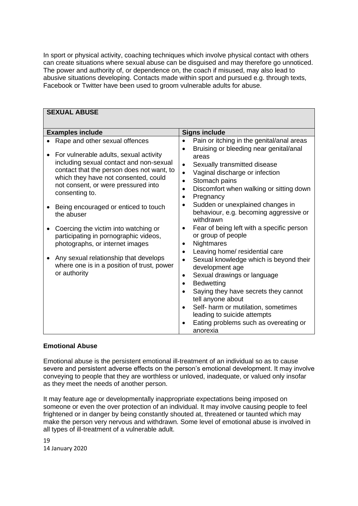In sport or physical activity, coaching techniques which involve physical contact with others can create situations where sexual abuse can be disguised and may therefore go unnoticed. The power and authority of, or dependence on, the coach if misused, may also lead to abusive situations developing. Contacts made within sport and pursued e.g. through texts, Facebook or Twitter have been used to groom vulnerable adults for abuse.

| <b>SEXUAL ABUSE</b>                                                                                                                                                                                                             |                                                                            |                                                                                                                                                                                                                                                                                                                             |  |  |  |
|---------------------------------------------------------------------------------------------------------------------------------------------------------------------------------------------------------------------------------|----------------------------------------------------------------------------|-----------------------------------------------------------------------------------------------------------------------------------------------------------------------------------------------------------------------------------------------------------------------------------------------------------------------------|--|--|--|
|                                                                                                                                                                                                                                 |                                                                            |                                                                                                                                                                                                                                                                                                                             |  |  |  |
| <b>Examples include</b>                                                                                                                                                                                                         |                                                                            | <b>Signs include</b>                                                                                                                                                                                                                                                                                                        |  |  |  |
| Rape and other sexual offences                                                                                                                                                                                                  | $\bullet$                                                                  | Pain or itching in the genital/anal areas                                                                                                                                                                                                                                                                                   |  |  |  |
| For vulnerable adults, sexual activity<br>including sexual contact and non-sexual<br>contact that the person does not want, to<br>which they have not consented, could<br>not consent, or were pressured into<br>consenting to. | $\bullet$<br>$\bullet$<br>$\bullet$<br>$\bullet$<br>$\bullet$<br>$\bullet$ | Bruising or bleeding near genital/anal<br>areas<br>Sexually transmitted disease<br>Vaginal discharge or infection<br>Stomach pains<br>Discomfort when walking or sitting down<br>Pregnancy                                                                                                                                  |  |  |  |
| Being encouraged or enticed to touch<br>the abuser                                                                                                                                                                              | $\bullet$                                                                  | Sudden or unexplained changes in<br>behaviour, e.g. becoming aggressive or<br>withdrawn                                                                                                                                                                                                                                     |  |  |  |
| Coercing the victim into watching or<br>participating in pornographic videos,<br>photographs, or internet images                                                                                                                | $\bullet$<br>$\bullet$                                                     | Fear of being left with a specific person<br>or group of people<br>Nightmares                                                                                                                                                                                                                                               |  |  |  |
| Any sexual relationship that develops<br>where one is in a position of trust, power<br>or authority                                                                                                                             | $\bullet$<br>$\bullet$<br>$\bullet$<br>$\bullet$<br>$\bullet$<br>$\bullet$ | Leaving home/ residential care<br>Sexual knowledge which is beyond their<br>development age<br>Sexual drawings or language<br><b>Bedwetting</b><br>Saying they have secrets they cannot<br>tell anyone about<br>Self- harm or mutilation, sometimes<br>leading to suicide attempts<br>Eating problems such as overeating or |  |  |  |
|                                                                                                                                                                                                                                 |                                                                            | anorexia                                                                                                                                                                                                                                                                                                                    |  |  |  |

## **Emotional Abuse**

Emotional abuse is the persistent emotional ill-treatment of an individual so as to cause severe and persistent adverse effects on the person's emotional development. It may involve conveying to people that they are worthless or unloved, inadequate, or valued only insofar as they meet the needs of another person.

It may feature age or developmentally inappropriate expectations being imposed on someone or even the over protection of an individual. It may involve causing people to feel frightened or in danger by being constantly shouted at, threatened or taunted which may make the person very nervous and withdrawn. Some level of emotional abuse is involved in all types of ill-treatment of a vulnerable adult.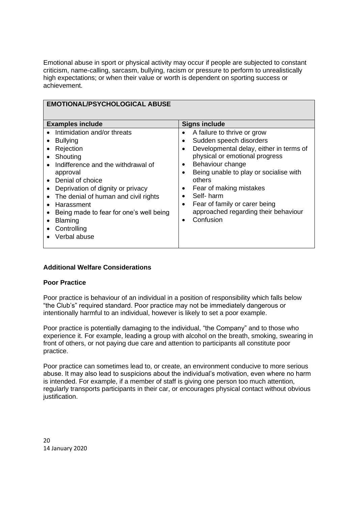Emotional abuse in sport or physical activity may occur if people are subjected to constant criticism, name-calling, sarcasm, bullying, racism or pressure to perform to unrealistically high expectations; or when their value or worth is dependent on sporting success or achievement.

| <b>EMOTIONAL/PSYCHOLOGICAL ABUSE</b>                                                                                                                                                                                                                                                                                                                           |                                                                                                                                                                                                                                                                                                                                                                                                            |  |  |
|----------------------------------------------------------------------------------------------------------------------------------------------------------------------------------------------------------------------------------------------------------------------------------------------------------------------------------------------------------------|------------------------------------------------------------------------------------------------------------------------------------------------------------------------------------------------------------------------------------------------------------------------------------------------------------------------------------------------------------------------------------------------------------|--|--|
| <b>Examples include</b>                                                                                                                                                                                                                                                                                                                                        | <b>Signs include</b>                                                                                                                                                                                                                                                                                                                                                                                       |  |  |
| Intimidation and/or threats<br>$\bullet$<br><b>Bullying</b><br>Rejection<br>Shouting<br>Indifference and the withdrawal of<br>approval<br>Denial of choice<br>$\bullet$<br>Deprivation of dignity or privacy<br>The denial of human and civil rights<br>Harassment<br>Being made to fear for one's well being<br><b>Blaming</b><br>Controlling<br>Verbal abuse | A failure to thrive or grow<br>Sudden speech disorders<br>Developmental delay, either in terms of<br>physical or emotional progress<br>Behaviour change<br>$\bullet$<br>Being unable to play or socialise with<br>others<br>Fear of making mistakes<br>$\bullet$<br>Self-harm<br>$\bullet$<br>Fear of family or carer being<br>$\bullet$<br>approached regarding their behaviour<br>Confusion<br>$\bullet$ |  |  |

## **Additional Welfare Considerations**

## **Poor Practice**

Poor practice is behaviour of an individual in a position of responsibility which falls below "the Club's" required standard. Poor practice may not be immediately dangerous or intentionally harmful to an individual, however is likely to set a poor example.

Poor practice is potentially damaging to the individual, "the Company" and to those who experience it. For example, leading a group with alcohol on the breath, smoking, swearing in front of others, or not paying due care and attention to participants all constitute poor practice.

Poor practice can sometimes lead to, or create, an environment conducive to more serious abuse. It may also lead to suspicions about the individual's motivation, even where no harm is intended. For example, if a member of staff is giving one person too much attention, regularly transports participants in their car, or encourages physical contact without obvious justification.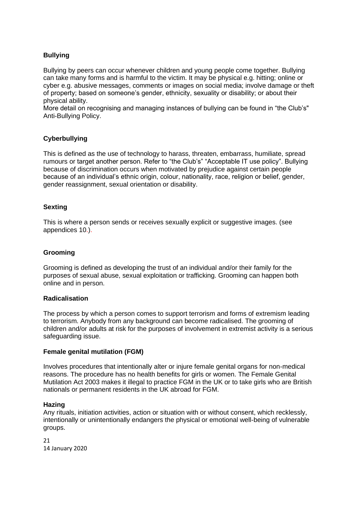# **Bullying**

Bullying by peers can occur whenever children and young people come together. Bullying can take many forms and is harmful to the victim. It may be physical e.g. hitting; online or cyber e.g. abusive messages, comments or images on social media; involve damage or theft of property; based on someone's gender, ethnicity, sexuality or disability; or about their physical ability.

More detail on recognising and managing instances of bullying can be found in "the Club's" Anti-Bullying Policy.

## **Cyberbullying**

This is defined as the use of technology to harass, threaten, embarrass, humiliate, spread rumours or target another person. Refer to "the Club's" "Acceptable IT use policy". Bullying because of discrimination occurs when motivated by prejudice against certain people because of an individual's ethnic origin, colour, nationality, race, religion or belief, gender, gender reassignment, sexual orientation or disability.

## **Sexting**

This is where a person sends or receives sexually explicit or suggestive images. (see appendices 10.).

#### **Grooming**

Grooming is defined as developing the trust of an individual and/or their family for the purposes of sexual abuse, sexual exploitation or trafficking. Grooming can happen both online and in person.

#### **Radicalisation**

The process by which a person comes to support terrorism and forms of extremism leading to terrorism. Anybody from any background can become radicalised. The grooming of children and/or adults at risk for the purposes of involvement in extremist activity is a serious safeguarding issue.

#### **Female genital mutilation (FGM)**

Involves procedures that intentionally alter or injure female genital organs for non-medical reasons. The procedure has no health benefits for girls or women. The Female Genital Mutilation Act 2003 makes it illegal to practice FGM in the UK or to take girls who are British nationals or permanent residents in the UK abroad for FGM.

#### **Hazing**

Any rituals, initiation activities, action or situation with or without consent, which recklessly, intentionally or unintentionally endangers the physical or emotional well-being of vulnerable groups.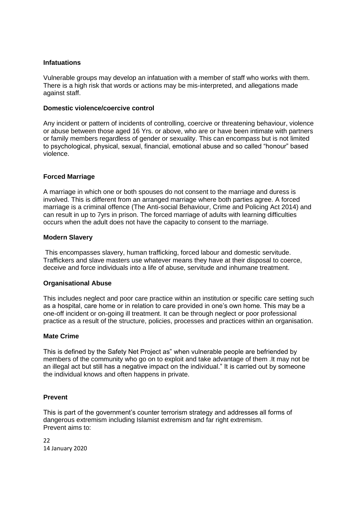## **Infatuations**

Vulnerable groups may develop an infatuation with a member of staff who works with them. There is a high risk that words or actions may be mis-interpreted, and allegations made against staff.

#### **Domestic violence/coercive control**

Any incident or pattern of incidents of controlling, coercive or threatening behaviour, violence or abuse between those aged 16 Yrs. or above, who are or have been intimate with partners or family members regardless of gender or sexuality. This can encompass but is not limited to psychological, physical, sexual, financial, emotional abuse and so called "honour" based violence.

## **Forced Marriage**

A marriage in which one or both spouses do not consent to the marriage and duress is involved. This is different from an arranged marriage where both parties agree. A forced marriage is a criminal offence (The Anti-social Behaviour, Crime and Policing Act 2014) and can result in up to 7yrs in prison. The forced marriage of adults with learning difficulties occurs when the adult does not have the capacity to consent to the marriage.

#### **Modern Slavery**

This encompasses slavery, human trafficking, forced labour and domestic servitude. Traffickers and slave masters use whatever means they have at their disposal to coerce, deceive and force individuals into a life of abuse, servitude and inhumane treatment.

## **Organisational Abuse**

This includes neglect and poor care practice within an institution or specific care setting such as a hospital, care home or in relation to care provided in one's own home. This may be a one-off incident or on-going ill treatment. It can be through neglect or poor professional practice as a result of the structure, policies, processes and practices within an organisation.

#### **Mate Crime**

This is defined by the Safety Net Project as" when vulnerable people are befriended by members of the community who go on to exploit and take advantage of them .It may not be an illegal act but still has a negative impact on the individual." It is carried out by someone the individual knows and often happens in private.

## **Prevent**

This is part of the government's counter terrorism strategy and addresses all forms of dangerous extremism including Islamist extremism and far right extremism. Prevent aims to: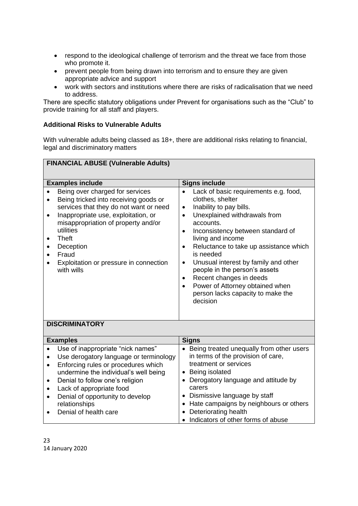- respond to the ideological challenge of terrorism and the threat we face from those who promote it.
- prevent people from being drawn into terrorism and to ensure they are given appropriate advice and support
- work with sectors and institutions where there are risks of radicalisation that we need to address.

There are specific statutory obligations under Prevent for organisations such as the "Club" to provide training for all staff and players.

## **Additional Risks to Vulnerable Adults**

With vulnerable adults being classed as 18+, there are additional risks relating to financial, legal and discriminatory matters

| <b>FINANCIAL ABUSE (Vulnerable Adults)</b>                                                                                                                                                                                                                                                                                            |                                                                                                                                                                                                                                                                                                                                                                                                                                                                                                                               |
|---------------------------------------------------------------------------------------------------------------------------------------------------------------------------------------------------------------------------------------------------------------------------------------------------------------------------------------|-------------------------------------------------------------------------------------------------------------------------------------------------------------------------------------------------------------------------------------------------------------------------------------------------------------------------------------------------------------------------------------------------------------------------------------------------------------------------------------------------------------------------------|
| <b>Examples include</b>                                                                                                                                                                                                                                                                                                               | <b>Signs include</b>                                                                                                                                                                                                                                                                                                                                                                                                                                                                                                          |
| Being over charged for services<br>Being tricked into receiving goods or<br>services that they do not want or need<br>Inappropriate use, exploitation, or<br>$\bullet$<br>misappropriation of property and/or<br>utilities<br><b>Theft</b><br>$\bullet$<br>Deception<br>Fraud<br>Exploitation or pressure in connection<br>with wills | Lack of basic requirements e.g. food,<br>$\bullet$<br>clothes, shelter<br>Inability to pay bills.<br>$\bullet$<br>Unexplained withdrawals from<br>$\bullet$<br>accounts.<br>Inconsistency between standard of<br>٠<br>living and income<br>Reluctance to take up assistance which<br>$\bullet$<br>is needed<br>Unusual interest by family and other<br>$\bullet$<br>people in the person's assets<br>Recent changes in deeds<br>$\bullet$<br>Power of Attorney obtained when<br>person lacks capacity to make the<br>decision |
| <b>DISCRIMINATORY</b>                                                                                                                                                                                                                                                                                                                 |                                                                                                                                                                                                                                                                                                                                                                                                                                                                                                                               |
| <b>Examples</b>                                                                                                                                                                                                                                                                                                                       | <b>Signs</b>                                                                                                                                                                                                                                                                                                                                                                                                                                                                                                                  |
| Use of inappropriate "nick names"<br>Use derogatory language or terminology<br>$\bullet$<br>Enforcing rules or procedures which<br>$\bullet$<br>undermine the individual's well being<br>Denial to follow one's religion<br>٠<br>Lack of appropriate food                                                                             | • Being treated unequally from other users<br>in terms of the provision of care,<br>treatment or services<br>Being isolated<br>$\bullet$<br>Derogatory language and attitude by<br>$\bullet$<br>carers                                                                                                                                                                                                                                                                                                                        |

• Indicators of other forms of abuse

- Lack of appropriate food
- Denial of opportunity to develop relationships • Dismissive language by staff • Hate campaigns by neighbours or others • Deteriorating health
- Denial of health care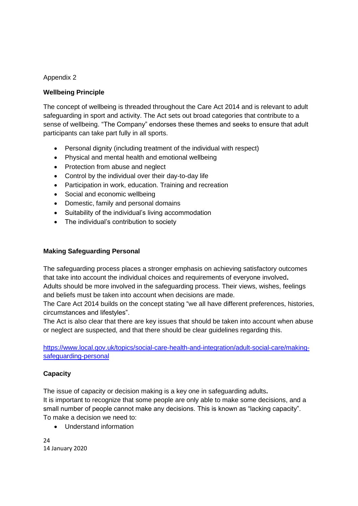## Appendix 2

## **Wellbeing Principle**

The concept of wellbeing is threaded throughout the Care Act 2014 and is relevant to adult safeguarding in sport and activity. The Act sets out broad categories that contribute to a sense of wellbeing. "The Company" endorses these themes and seeks to ensure that adult participants can take part fully in all sports.

- Personal dignity (including treatment of the individual with respect)
- Physical and mental health and emotional wellbeing
- Protection from abuse and neglect
- Control by the individual over their day-to-day life
- Participation in work, education. Training and recreation
- Social and economic wellbeing
- Domestic, family and personal domains
- Suitability of the individual's living accommodation
- The individual's contribution to society

## **Making Safeguarding Personal**

The safeguarding process places a stronger emphasis on achieving satisfactory outcomes that take into account the individual choices and requirements of everyone involved**.** Adults should be more involved in the safeguarding process. Their views, wishes, feelings and beliefs must be taken into account when decisions are made.

The Care Act 2014 builds on the concept stating "we all have different preferences, histories, circumstances and lifestyles".

The Act is also clear that there are key issues that should be taken into account when abuse or neglect are suspected, and that there should be clear guidelines regarding this.

[https://www.local.gov.uk/topics/social-care-health-and-integration/adult-social-care/making](https://www.local.gov.uk/topics/social-care-health-and-integration/adult-social-care/making-safeguarding-personal)[safeguarding-personal](https://www.local.gov.uk/topics/social-care-health-and-integration/adult-social-care/making-safeguarding-personal)

## **Capacity**

The issue of capacity or decision making is a key one in safeguarding adults**.** It is important to recognize that some people are only able to make some decisions, and a small number of people cannot make any decisions. This is known as "lacking capacity". To make a decision we need to:

• Understand information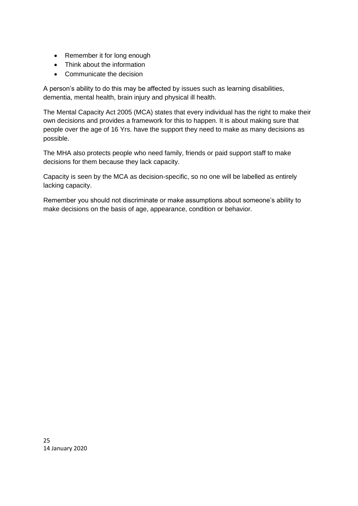- Remember it for long enough
- Think about the information
- Communicate the decision

A person's ability to do this may be affected by issues such as learning disabilities, dementia, mental health, brain injury and physical ill health.

The Mental Capacity Act 2005 (MCA) states that every individual has the right to make their own decisions and provides a framework for this to happen. It is about making sure that people over the age of 16 Yrs. have the support they need to make as many decisions as possible.

The MHA also protects people who need family, friends or paid support staff to make decisions for them because they lack capacity.

Capacity is seen by the MCA as decision-specific, so no one will be labelled as entirely lacking capacity.

Remember you should not discriminate or make assumptions about someone's ability to make decisions on the basis of age, appearance, condition or behavior.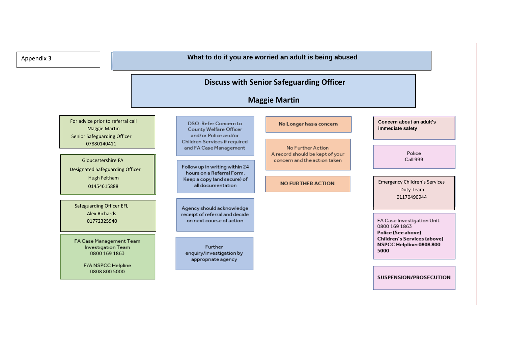| Appendix 3 |                                                                                                 |                                                                                           | What to do if you are worried an adult is being abused                               |                                                                                                     |
|------------|-------------------------------------------------------------------------------------------------|-------------------------------------------------------------------------------------------|--------------------------------------------------------------------------------------|-----------------------------------------------------------------------------------------------------|
|            |                                                                                                 |                                                                                           | <b>Discuss with Senior Safeguarding Officer</b><br><b>Maggie Martin</b>              |                                                                                                     |
|            | For advice prior to referral call<br><b>Maggie Martin</b><br><b>Senior Safeguarding Officer</b> | DSO: Refer Concern to<br>County Welfare Officer<br>and/or Police and/or                   | No Longer has a concern                                                              | Concern about an adult's<br>immediate safety                                                        |
|            | 07880140411<br><b>Gloucestershire FA</b>                                                        | Children Services if required<br>and FA Case Management<br>Follow up in writing within 24 | No Further Action<br>A record should be kept of your<br>concern and the action taken | Police<br>Call 999                                                                                  |
|            | <b>Designated Safeguarding Officer</b><br><b>Hugh Feltham</b><br>01454615888                    | hours on a Referral Form.<br>Keep a copy (and secure) of<br>all documentation             | <b>NO FURTHER ACTION</b>                                                             | <b>Emergency Children's Services</b><br>Duty Team                                                   |
|            | <b>Safeguarding Officer EFL</b><br><b>Alex Richards</b><br>01772325940                          | Agency should acknowledge<br>receipt of referral and decide<br>on next course of action   |                                                                                      | 01170490944<br>FA Case Investigation Unit<br>0800 169 1863                                          |
|            | FA Case Management Team<br>Investigation Team<br>0800 169 1863                                  | Further<br>enquiry/investigation by<br>appropriate agency                                 |                                                                                      | <b>Police (See above)</b><br><b>Children's Services (above)</b><br>NSPCC Helpline: 0808 800<br>5000 |
|            | F/A NSPCC Helpline<br>0808 800 5000                                                             |                                                                                           |                                                                                      | SUSPENSION/PROSECUTION                                                                              |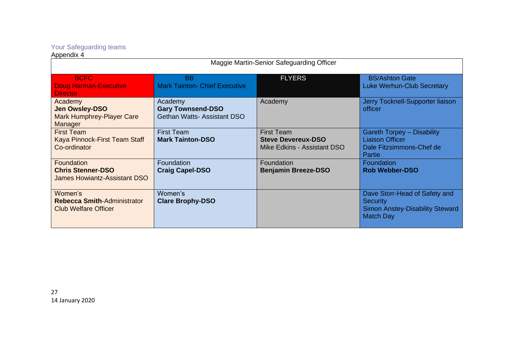## Your Safeguarding teams

#### Appendix 4

| Maggie Martin-Senior Safeguarding Officer                                            |                                                                          |                                                                               |                                                                                                                |
|--------------------------------------------------------------------------------------|--------------------------------------------------------------------------|-------------------------------------------------------------------------------|----------------------------------------------------------------------------------------------------------------|
| <b>BCFC</b><br><b>Doug Harman-Executive</b><br><b>Director</b>                       | <b>BB</b><br><b>Mark Tainton- Chief Executive</b>                        | <b>FLYERS</b>                                                                 | <b>BS/Ashton Gate</b><br><b>Luke Werhun-Club Secretary</b>                                                     |
| Academy<br><b>Jen Owsley-DSO</b><br><b>Mark Humphrey-Player Care</b><br>Manager      | Academy<br><b>Gary Townsend-DSO</b><br><b>Gethan Watts-Assistant DSO</b> | Academy                                                                       | Jerry Tocknell-Supporter liaison<br>officer                                                                    |
| <b>First Team</b><br>Kaya Pinnock-First Team Staff<br>Co-ordinator                   | <b>First Team</b><br><b>Mark Tainton-DSO</b>                             | <b>First Team</b><br><b>Steve Devereux-DSO</b><br>Mike Edkins - Assistant DSO | <b>Gareth Torpey - Disability</b><br><b>Liaison Officer</b><br>Dale Fitzsimmons-Chef de<br>Partie              |
| <b>Foundation</b><br><b>Chris Stenner-DSO</b><br><b>James Howiantz-Assistant DSO</b> | Foundation<br><b>Craig Capel-DSO</b>                                     | Foundation<br><b>Benjamin Breeze-DSO</b>                                      | Foundation<br><b>Rob Webber-DSO</b>                                                                            |
| Women's<br><b>Rebecca Smith-Administrator</b><br><b>Club Welfare Officer</b>         | Women's<br><b>Clare Brophy-DSO</b>                                       |                                                                               | Dave Storr-Head of Safety and<br><b>Security</b><br><b>Simon Anstey-Disability Steward</b><br><b>Match Day</b> |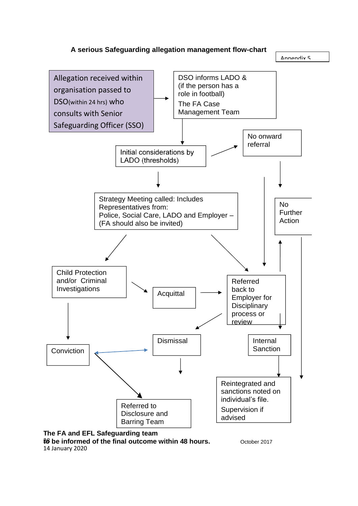



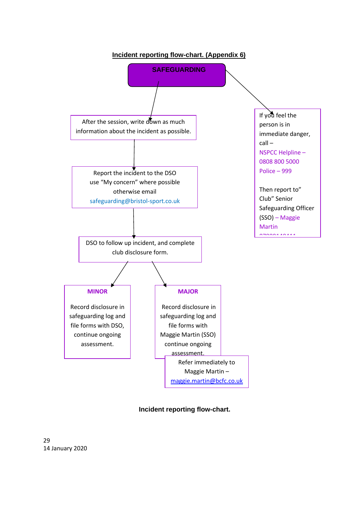

 **Incident reporting flow-chart.**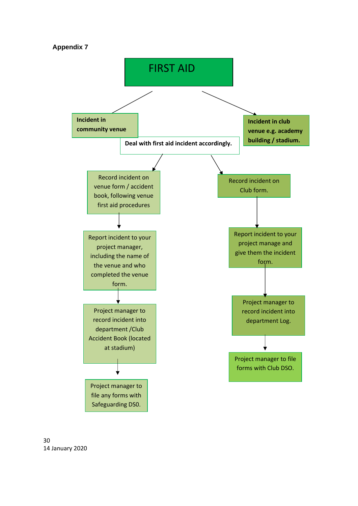## **Appendix 7**



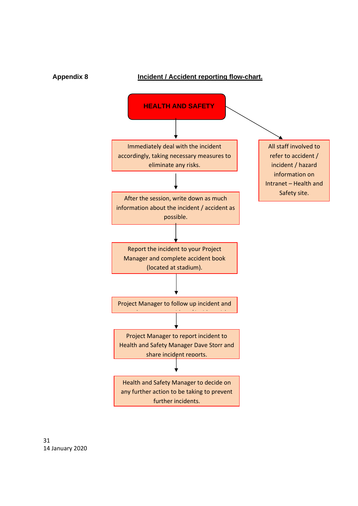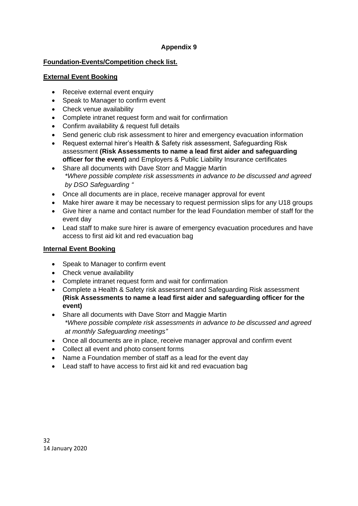# **Appendix 9**

# **Foundation-Events/Competition check list.**

## **External Event Booking**

- Receive external event enquiry
- Speak to Manager to confirm event
- Check venue availability
- Complete intranet request form and wait for confirmation
- Confirm availability & request full details
- Send generic club risk assessment to hirer and emergency evacuation information
- Request external hirer's Health & Safety risk assessment, Safeguarding Risk assessment **(Risk Assessments to name a lead first aider and safeguarding officer for the event)** and Employers & Public Liability Insurance certificates
- Share all documents with Dave Storr and Maggie Martin *\*Where possible complete risk assessments in advance to be discussed and agreed by DSO Safeguarding "*
- Once all documents are in place, receive manager approval for event
- Make hirer aware it may be necessary to request permission slips for any U18 groups
- Give hirer a name and contact number for the lead Foundation member of staff for the event day
- Lead staff to make sure hirer is aware of emergency evacuation procedures and have access to first aid kit and red evacuation bag

# **Internal Event Booking**

- Speak to Manager to confirm event
- Check venue availability
- Complete intranet request form and wait for confirmation
- Complete a Health & Safety risk assessment and Safeguarding Risk assessment **(Risk Assessments to name a lead first aider and safeguarding officer for the event)**
- Share all documents with Dave Storr and Maggie Martin *\*Where possible complete risk assessments in advance to be discussed and agreed at monthly Safeguarding meetings"*
- Once all documents are in place, receive manager approval and confirm event
- Collect all event and photo consent forms
- Name a Foundation member of staff as a lead for the event day
- Lead staff to have access to first aid kit and red evacuation bag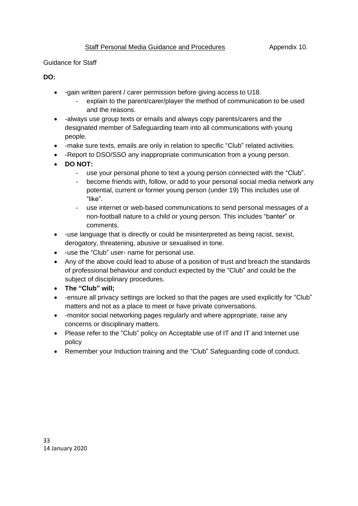## Guidance for Staff

## **DO:**

- -gain written parent / carer permission before giving access to U18.
	- explain to the parent/carer/player the method of communication to be used and the reasons.
- -always use group texts or emails and always copy parents/carers and the designated member of Safeguarding team into all communications with young people.
- -make sure texts, emails are only in relation to specific "Club" related activities.
- - Report to DSO/SSO any inappropriate communication from a young person.
- **DO NOT:**
	- use your personal phone to text a young person connected with the "Club".
	- become friends with, follow, or add to your personal social media network any potential, current or former young person (under 19) This includes use of "like".
	- use internet or web-based communications to send personal messages of a non-football nature to a child or young person. This includes "banter" or comments.
- -use language that is directly or could be misinterpreted as being racist, sexist, derogatory, threatening, abusive or sexualised in tone.
- -use the "Club" user- name for personal use.
- Any of the above could lead to abuse of a position of trust and breach the standards of professional behaviour and conduct expected by the "Club" and could be the subject of disciplinary procedures.
- **The "Club" will;**
- -ensure all privacy settings are locked so that the pages are used explicitly for "Club" matters and not as a place to meet or have private conversations.
- -monitor social networking pages regularly and where appropriate, raise any concerns or disciplinary matters.
- Please refer to the "Club" policy on Acceptable use of IT and IT and Internet use policy
- Remember your Induction training and the "Club" Safeguarding code of conduct.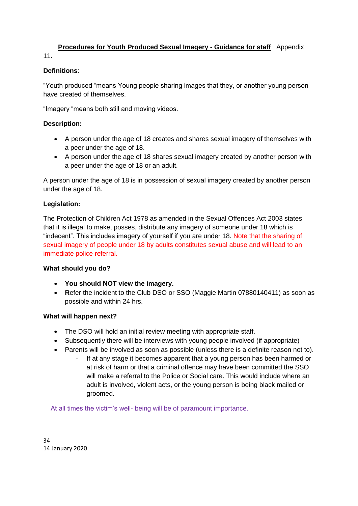# **Procedures for Youth Produced Sexual Imagery - Guidance for staff** Appendix

11.

## **Definitions**:

"Youth produced "means Young people sharing images that they, or another young person have created of themselves.

"Imagery "means both still and moving videos.

# **Description:**

- A person under the age of 18 creates and shares sexual imagery of themselves with a peer under the age of 18.
- A person under the age of 18 shares sexual imagery created by another person with a peer under the age of 18 or an adult.

A person under the age of 18 is in possession of sexual imagery created by another person under the age of 18.

## **Legislation:**

The Protection of Children Act 1978 as amended in the Sexual Offences Act 2003 states that it is illegal to make, posses, distribute any imagery of someone under 18 which is "indecent". This includes imagery of yourself if you are under 18. Note that the sharing of sexual imagery of people under 18 by adults constitutes sexual abuse and will lead to an immediate police referral.

## **What should you do?**

- **You should NOT view the imagery.**
- **R**efer the incident to the Club DSO or SSO (Maggie Martin 07880140411) as soon as possible and within 24 hrs.

## **What will happen next?**

- The DSO will hold an initial review meeting with appropriate staff.
- Subsequently there will be interviews with young people involved (if appropriate)
- Parents will be involved as soon as possible (unless there is a definite reason not to).
	- If at any stage it becomes apparent that a young person has been harmed or at risk of harm or that a criminal offence may have been committed the SSO will make a referral to the Police or Social care. This would include where an adult is involved, violent acts, or the young person is being black mailed or groomed.

At all times the victim's well- being will be of paramount importance.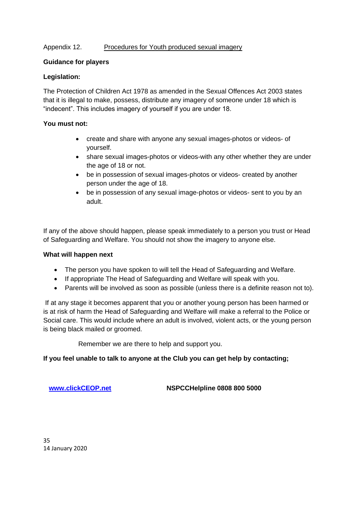## Appendix 12.Procedures for Youth produced sexual imagery

## **Guidance for players**

## **Legislation:**

The Protection of Children Act 1978 as amended in the Sexual Offences Act 2003 states that it is illegal to make, possess, distribute any imagery of someone under 18 which is "indecent". This includes imagery of yourself if you are under 18.

## **You must not:**

- create and share with anyone any sexual images-photos or videos- of yourself.
- share sexual images-photos or videos-with any other whether they are under the age of 18 or not.
- be in possession of sexual images-photos or videos- created by another person under the age of 18.
- be in possession of any sexual image-photos or videos- sent to you by an adult.

If any of the above should happen, please speak immediately to a person you trust or Head of Safeguarding and Welfare. You should not show the imagery to anyone else.

## **What will happen next**

- The person you have spoken to will tell the Head of Safeguarding and Welfare.
- If appropriate The Head of Safeguarding and Welfare will speak with you.
- Parents will be involved as soon as possible (unless there is a definite reason not to).

If at any stage it becomes apparent that you or another young person has been harmed or is at risk of harm the Head of Safeguarding and Welfare will make a referral to the Police or Social care. This would include where an adult is involved, violent acts, or the young person is being black mailed or groomed.

Remember we are there to help and support you.

## **If you feel unable to talk to anyone at the Club you can get help by contacting;**

**[www.clickCEOP.net](http://www.clickceop.net/) NSPCCHelpline 0808 800 5000**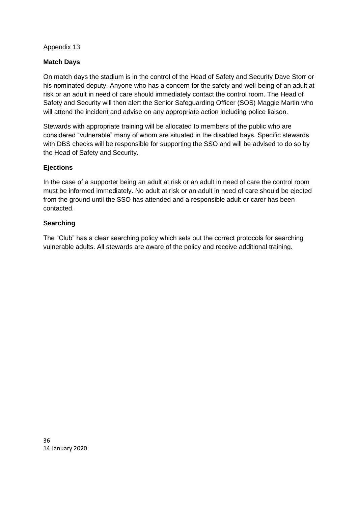Appendix 13

# **Match Days**

On match days the stadium is in the control of the Head of Safety and Security Dave Storr or his nominated deputy. Anyone who has a concern for the safety and well-being of an adult at risk or an adult in need of care should immediately contact the control room. The Head of Safety and Security will then alert the Senior Safeguarding Officer (SOS) Maggie Martin who will attend the incident and advise on any appropriate action including police liaison.

Stewards with appropriate training will be allocated to members of the public who are considered "vulnerable" many of whom are situated in the disabled bays. Specific stewards with DBS checks will be responsible for supporting the SSO and will be advised to do so by the Head of Safety and Security.

## **Ejections**

In the case of a supporter being an adult at risk or an adult in need of care the control room must be informed immediately. No adult at risk or an adult in need of care should be ejected from the ground until the SSO has attended and a responsible adult or carer has been contacted.

## **Searching**

The "Club" has a clear searching policy which sets out the correct protocols for searching vulnerable adults. All stewards are aware of the policy and receive additional training.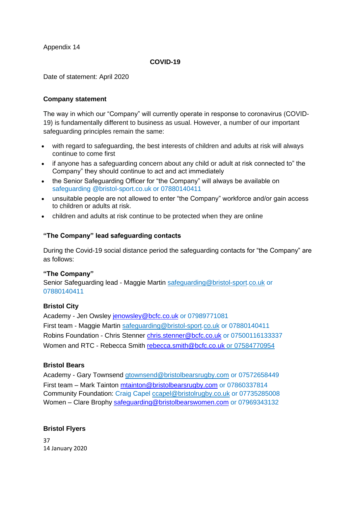Appendix 14

## **COVID-19**

Date of statement: April 2020

## **Company statement**

The way in which our "Company" will currently operate in response to coronavirus (COVID-19) is fundamentally different to business as usual. However, a number of our important safeguarding principles remain the same:

- with regard to safeguarding, the best interests of children and adults at risk will always continue to come first
- if anyone has a safeguarding concern about any child or adult at risk connected to" the Company" they should continue to act and act immediately
- the Senior Safeguarding Officer for "the Company" will always be available on safeguarding @bristol-sport.co.uk or 07880140411
- unsuitable people are not allowed to enter "the Company" workforce and/or gain access to children or adults at risk.
- children and adults at risk continue to be protected when they are online

## **"The Company" lead safeguarding contacts**

During the Covid-19 social distance period the safeguarding contacts for "the Company" are as follows:

## **"The Company"**

Senior Safeguarding lead - Maggie Martin safeguarding@bristol-sport.co.uk or 07880140411

## **Bristol City**

Academy - Jen Owsley [jenowsley@bcfc.co.uk](mailto:jenowsley@bcfc.co.uk) or 07989771081 First team - Maggie Martin safeguarding@bristol-sport.co.uk or 07880140411 Robins Foundation - Chris Stenner [chris.stenner@bcfc.co.uk](mailto:chris.stenner@bcfc.co.uk) or 07500116133337 Women and RTC - Rebecca Smith [rebecca.smith@bcfc.co.uk](mailto:rebecca.smith@bcfc.co.uk) or 07584770954

# **Bristol Bears**

Academy - Gary Townsend gtownsend@bristolbearsrugby.com or 07572658449 First team – Mark Tainton [mtainton@bristolbearsrugby.com](mailto:mark.tainton@bristolbearsrugby.com) or 07860337814 Community Foundation: Craig Capel ccapel@bristolrugby.co.uk or 07735285008 Women – Clare Brophy [safeguarding@bristolbearswomen.com](mailto:safeguarding@bristolbearswomen.com) or 07969343132

## **Bristol Flyers**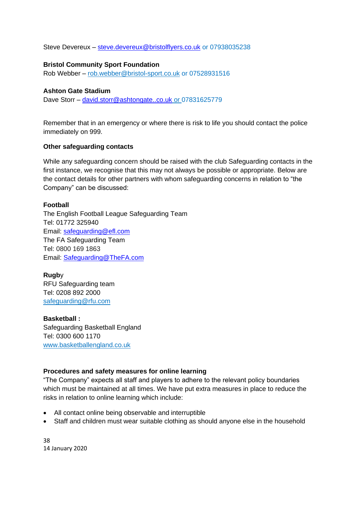Steve Devereux – [steve.devereux@bristolflyers.co.uk](mailto:steve.devereux@bristolflyers.co.uk) or 07938035238

## **Bristol Community Sport Foundation**

Rob Webber – [rob.webber@bristol-sport.co.uk](mailto:rob.webber@bristol-sport.co.uk) or 07528931516

#### **Ashton Gate Stadium**

Dave Storr – [david.storr@ashtongate..co.uk](mailto:david.storr@ashtongate..co.uk) or 07831625779

Remember that in an emergency or where there is risk to life you should contact the police immediately on 999.

## **Other safeguarding contacts**

While any safeguarding concern should be raised with the club Safeguarding contacts in the first instance, we recognise that this may not always be possible or appropriate. Below are the contact details for other partners with whom safeguarding concerns in relation to "the Company" can be discussed:

## **Football**

The English Football League Safeguarding Team Tel: 01772 325940 Email: [safeguarding@efl.com](mailto:safeguarding@efl.com) The FA Safeguarding Team Tel: 0800 169 1863 Email: [Safeguarding@TheFA.com](mailto:Safeguarding@TheFA.com)

**Rugb**y RFU Safeguarding team Tel: 0208 892 2000 [safeguarding@rfu.com](mailto:safeguarding@rfu.com)

**Basketball :** Safeguarding Basketball England Tel: 0300 600 1170 www.basketballengland.co.uk

## **Procedures and safety measures for online learning**

"The Company" expects all staff and players to adhere to the relevant policy boundaries which must be maintained at all times. We have put extra measures in place to reduce the risks in relation to online learning which include:

- All contact online being observable and interruptible
- Staff and children must wear suitable clothing as should anyone else in the household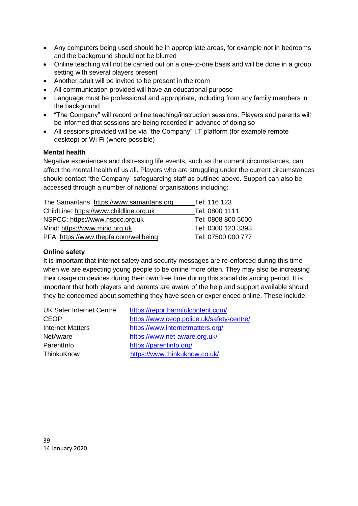- Any computers being used should be in appropriate areas, for example not in bedrooms and the background should not be blurred
- Online teaching will not be carried out on a one-to-one basis and will be done in a group setting with several players present
- Another adult will be invited to be present in the room
- All communication provided will have an educational purpose
- Language must be professional and appropriate, including from any family members in the background
- "The Company" will record online teaching/instruction sessions. Players and parents will be informed that sessions are being recorded in advance of doing so
- All sessions provided will be via "the Company" I.T platform (for example remote desktop) or Wi-Fi (where possible)

## **Mental health**

Negative experiences and distressing life events, such as the current circumstances, can affect the mental health of us all. Players who are struggling under the current circumstances should contact "the Company" safeguarding staff as outlined above. Support can also be accessed through a number of national organisations including:

| The Samaritans https://www.samaritans.org | Tel: 116 123       |
|-------------------------------------------|--------------------|
| ChildLine: https://www.childline.org.uk   | Tel: 0800 1111     |
| NSPCC: https://www.nspcc.org.uk           | Tel: 0808 800 5000 |
| Mind: https://www.mind.org.uk             | Tel: 0300 123 3393 |
| PFA: https://www.thepfa.com/wellbeing     | Tel: 07500 000 777 |

# **Online safety**

It is important that internet safety and security messages are re-enforced during this time when we are expecting young people to be online more often. They may also be increasing their usage on devices during their own free time during this social distancing period. It is important that both players and parents are aware of the help and support available should they be concerned about something they have seen or experienced online. These include:

| <b>UK Safer Internet Centre</b> | https://reportharmfulcontent.com/         |  |
|---------------------------------|-------------------------------------------|--|
| <b>CEOP</b>                     | https://www.ceop.police.uk/safety-centre/ |  |
| <b>Internet Matters</b>         | https://www.internetmatters.org/          |  |
| <b>NetAware</b>                 | https://www.net-aware.org.uk/             |  |
| Parentlnfo                      | https://parentinfo.org/                   |  |
| ThinkuKnow                      | https://www.thinkuknow.co.uk/             |  |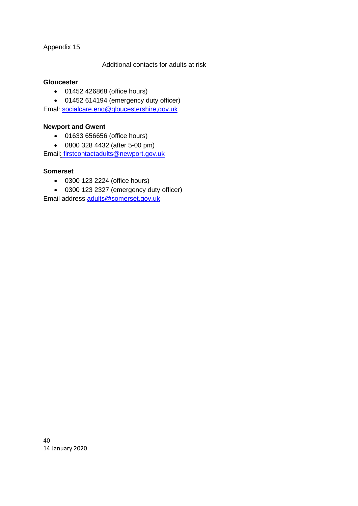## Appendix 15

## Additional contacts for adults at risk

## **Gloucester**

• 01452 426868 (office hours)

• 01452 614194 (emergency duty officer)

Emal: [socialcare.enq@gloucestershire,gov.uk](mailto:socialcare.enq@gloucestershire,gov.uk)

## **Newport and Gwent**

- 01633 656656 (office hours)
- 0800 328 4432 (after 5-00 pm)

Email: [firstcontactadults@newport.gov.uk](mailto:%20firstcontactadults@newport.gov.uk)

## **Somerset**

- 0300 123 2224 (office hours)
- 0300 123 2327 (emergency duty officer)

Email address [adults@somerset.gov.uk](mailto:adults@somerset.gov.uk)